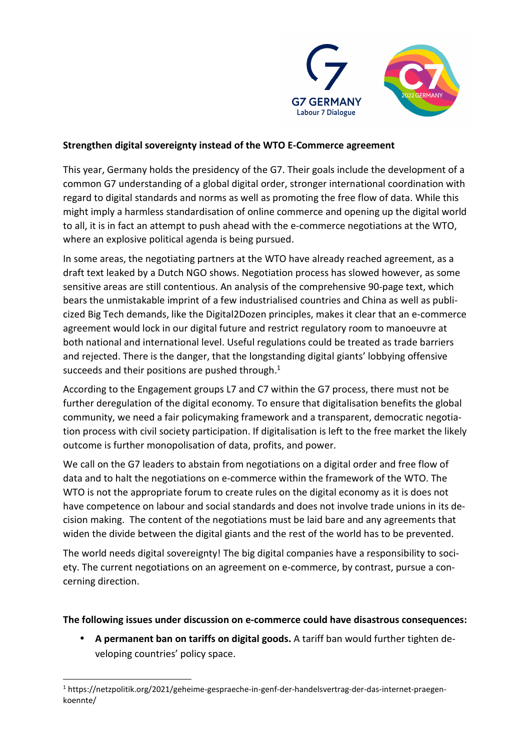

## **Strengthen digital sovereignty instead of the WTO E-Commerce agreement**

This year, Germany holds the presidency of the G7. Their goals include the development of a common G7 understanding of a global digital order, stronger international coordination with regard to digital standards and norms as well as promoting the free flow of data. While this might imply a harmless standardisation of online commerce and opening up the digital world to all, it is in fact an attempt to push ahead with the e-commerce negotiations at the WTO, where an explosive political agenda is being pursued.

In some areas, the negotiating partners at the WTO have already reached agreement, as a draft text leaked by a Dutch NGO shows. Negotiation process has slowed however, as some sensitive areas are still contentious. An analysis of the comprehensive 90-page text, which bears the unmistakable imprint of a few industrialised countries and China as well as publicized Big Tech demands, like the Digital2Dozen principles, makes it clear that an e-commerce agreement would lock in our digital future and restrict regulatory room to manoeuvre at both national and international level. Useful regulations could be treated as trade barriers and rejected. There is the danger, that the longstanding digital giants' lobbying offensive succeeds and their positions are pushed through.<sup>1</sup>

According to the Engagement groups L7 and C7 within the G7 process, there must not be further deregulation of the digital economy. To ensure that digitalisation benefits the global community, we need a fair policymaking framework and a transparent, democratic negotiation process with civil society participation. If digitalisation is left to the free market the likely outcome is further monopolisation of data, profits, and power.

We call on the G7 leaders to abstain from negotiations on a digital order and free flow of data and to halt the negotiations on e-commerce within the framework of the WTO. The WTO is not the appropriate forum to create rules on the digital economy as it is does not have competence on labour and social standards and does not involve trade unions in its decision making. The content of the negotiations must be laid bare and any agreements that widen the divide between the digital giants and the rest of the world has to be prevented.

The world needs digital sovereignty! The big digital companies have a responsibility to society. The current negotiations on an agreement on e-commerce, by contrast, pursue a concerning direction.

## **The following issues under discussion on e-commerce could have disastrous consequences:**

• **A permanent ban on tariffs on digital goods.** A tariff ban would further tighten developing countries' policy space.

<sup>1</sup> https://netzpolitik.org/2021/geheime-gespraeche-in-genf-der-handelsvertrag-der-das-internet-praegenkoennte/